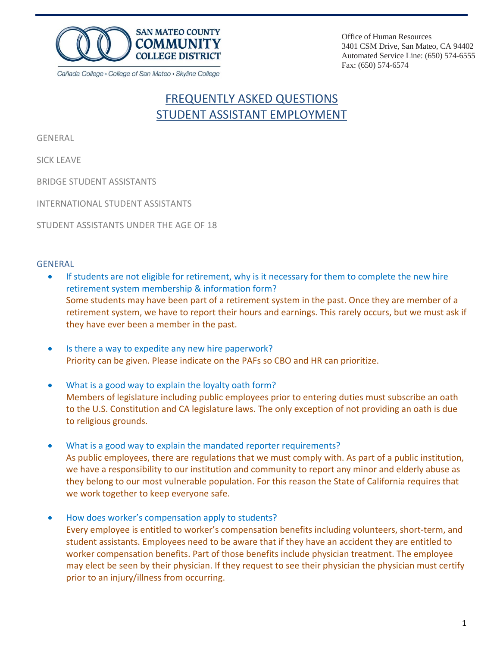

Office of Human Resources 3401 CSM Drive, San Mateo, CA 94402 Automated Service Line: (650) 574-6555 Fax: (650) 574-6574

# FREQUENTLY ASKED QUESTIONS STUDENT ASSISTANT EMPLOYMENT

GENERAL

SICK [LEAVE](#page-1-0)

BRIDGE STUDENT [ASSISTANTS](#page-1-0)

[INTERNATIONAL](#page-2-0) STUDENT ASSISTANTS

STUDENT [ASSISTANTS](#page-2-0) UNDER THE AGE OF 18

#### GENERAL

- If students are not eligible for retirement, why is it necessary for them to complete the new hire retirement system membership & information form? Some students may have been part of a retirement system in the past. Once they are member of a retirement system, we have to report their hours and earnings. This rarely occurs, but we must ask if they have ever been a member in the past.
- Is there a way to expedite any new hire paperwork? Priority can be given. Please indicate on the PAFs so CBO and HR can prioritize.
- What is a good way to explain the loyalty oath form? Members of legislature including public employees prior to entering duties must subscribe an oath to the U.S. Constitution and CA legislature laws. The only exception of not providing an oath is due to religious grounds.
- What is a good way to explain the mandated reporter requirements? As public employees, there are regulations that we must comply with. As part of a public institution, we have a responsibility to our institution and community to report any minor and elderly abuse as they belong to our most vulnerable population. For this reason the State of California requires that we work together to keep everyone safe.
- How does worker's compensation apply to students? Every employee is entitled to worker's compensation benefits including volunteers, short‐term, and student assistants. Employees need to be aware that if they have an accident they are entitled to worker compensation benefits. Part of those benefits include physician treatment. The employee may elect be seen by their physician. If they request to see their physician the physician must certify prior to an injury/illness from occurring.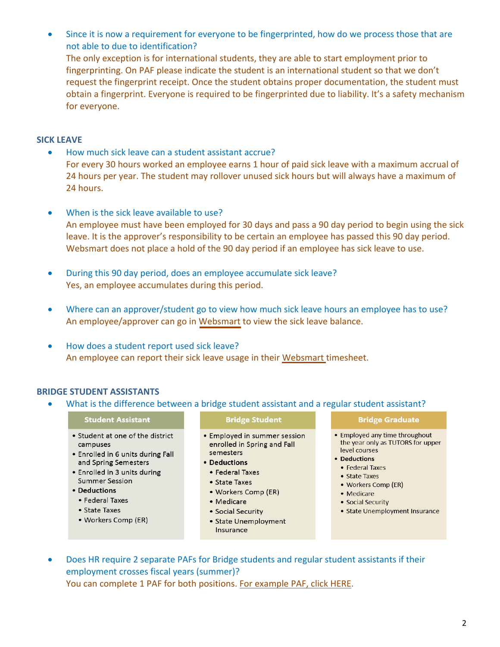<span id="page-1-0"></span>• Since it is now a requirement for everyone to be fingerprinted, how do we process those that are not able to due to identification? The only exception is for international students, they are able to start employment prior to fingerprinting. On PAF please indicate the student is an international student so that we don't request the fingerprint receipt. Once the student obtains proper documentation, the student must obtain a fingerprint. Everyone is required to be fingerprinted due to liability. It's a safety mechanism for everyone.

#### **SICK LEAVE**

- How much sick leave can a student assistant accrue? For every 30 hours worked an employee earns 1 hour of paid sick leave with a maximum accrual of 24 hours per year. The student may rollover unused sick hours but will always have a maximum of 24 hours.
- When is the sick leave available to use? An employee must have been employed for 30 days and pass a 90 day period to begin using the sick leave. It is the approver's responsibility to be certain an employee has passed this 90 day period. Websmart does not place a hold of the 90 day period if an employee has sick leave to use.
- During this 90 day period, does an employee accumulate sick leave? Yes, an employee accumulates during this period.
- Where can an approver/student go to view how much sick leave hours an employee has to use? An employee/approver can go in [Websmart](https://websmart.smccd.edu/) to view the sick leave balance.
- How does a student report used sick leave? An employee can report their sick leave usage in their [Websmart](https://websmart.smccd.edu/) timesheet.

#### **BRIDGE STUDENT ASSISTANTS**

What is the difference between a bridge student assistant and a regular student assistant?

#### **Student Assistant Bridge Graduate Bridge Student** • Student at one of the district · Employed in summer session • Employed any time throughout campuses enrolled in Spring and Fall level courses . Enrolled in 6 units during Fall semesters • Deductions and Spring Semesters

- Enrolled in 3 units during
- **Summer Session**
- Deductions
	- Federal Taxes
	- State Taxes
	- Workers Comp (ER)
- Deductions
	- Federal Taxes
	- State Taxes
	- Workers Comp (ER)
	- Medicare
	- Social Security
	- State Unemployment Insurance
- the year only as TUTORS for upper
- 
- · Federal Taxes
- · State Taxes
- Workers Comp (ER)
- Medicare
- Social Security
- State Unemployment Insurance
- Does HR require 2 separate PAFs for Bridge students and regular student assistants if their employment crosses fiscal years (summer)? You can complete 1 PAF for both positions. For [example](https://smccd-public.sharepoint.com/humanresources/New%20Hire%20Welcome%20Packets/Student%20Assistant%20Welcome%20Packet/SAMPLE_PAF_BRIDGE_Student_Asst_%201617.pdf) PAF, click HERE.